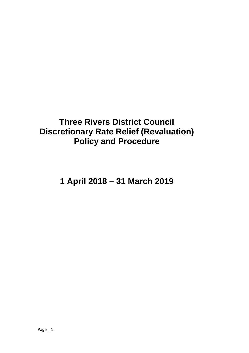# **Three Rivers District Council Discretionary Rate Relief (Revaluation) Policy and Procedure**

**1 April 2018 – 31 March 2019**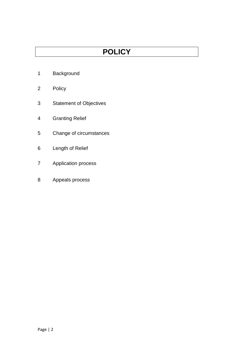# **POLICY**

- Background
- Policy
- Statement of Objectives
- Granting Relief
- Change of circumstances
- Length of Relief
- Application process
- Appeals process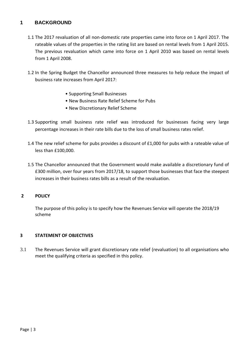# **1 BACKGROUND**

- 1.1 The 2017 revaluation of all non-domestic rate properties came into force on 1 April 2017. The rateable values of the properties in the rating list are based on rental levels from 1 April 2015. The previous revaluation which came into force on 1 April 2010 was based on rental levels from 1 April 2008.
- 1.2 In the Spring Budget the Chancellor announced three measures to help reduce the impact of business rate increases from April 2017:
	- Supporting Small Businesses
	- New Business Rate Relief Scheme for Pubs
	- New Discretionary Relief Scheme
- 1.3 Supporting small business rate relief was introduced for businesses facing very large percentage increases in their rate bills due to the loss of small business rates relief.
- 1.4 The new relief scheme for pubs provides a discount of £1,000 for pubs with a rateable value of less than £100,000.
- 1.5 The Chancellor announced that the Government would make available a discretionary fund of £300 million, over four years from 2017/18, to support those businesses that face the steepest increases in their business rates bills as a result of the revaluation.

### **2 POLICY**

The purpose of this policy is to specify how the Revenues Service will operate the 2018/19 scheme

### **3 STATEMENT OF OBJECTIVES**

3.1 The Revenues Service will grant discretionary rate relief (revaluation) to all organisations who meet the qualifying criteria as specified in this policy.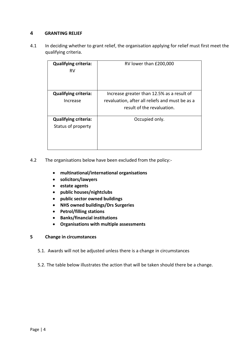### **4 GRANTING RELIEF**

4.1 In deciding whether to grant relief, the organisation applying for relief must first meet the qualifying criteria.

| <b>Qualifying criteria:</b><br>RV                 | RV lower than £200,000                                                                                                      |
|---------------------------------------------------|-----------------------------------------------------------------------------------------------------------------------------|
| <b>Qualifying criteria:</b><br>Increase           | Increase greater than 12.5% as a result of<br>revaluation, after all reliefs and must be as a<br>result of the revaluation. |
| <b>Qualifying criteria:</b><br>Status of property | Occupied only.                                                                                                              |

4.2 The organisations below have been excluded from the policy:-

- **multinational/international organisations**
- **solicitors/lawyers**
- **estate agents**
- **public houses/nightclubs**
- **public sector owned buildings**
- **NHS owned buildings/Drs Surgeries**
- **Petrol/filling stations**
- **Banks/financial institutions**
- **Organisations with multiple assessments**

### **5 Change in circumstances**

- 5.1. Awards will not be adjusted unless there is a change in circumstances
- 5.2. The table below illustrates the action that will be taken should there be a change.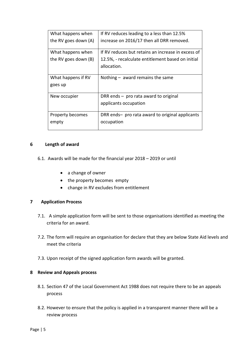| What happens when    | If RV reduces leading to a less than 12.5%         |
|----------------------|----------------------------------------------------|
| the RV goes down (A) | increase on 2016/17 then all DRR removed.          |
| What happens when    | If RV reduces but retains an increase in excess of |
| the RV goes down (B) | 12.5%, - recalculate entitlement based on initial  |
|                      | allocation.                                        |
| What happens if RV   | Nothing $-$ award remains the same                 |
| goes up              |                                                    |
| New occupier         | DRR ends - pro rata award to original              |
|                      | applicants occupation                              |
| Property becomes     | DRR ends- pro rata award to original applicants    |
| empty                | occupation                                         |
|                      |                                                    |

### **6 Length of award**

- 6.1. Awards will be made for the financial year 2018 2019 or until
	- a change of owner
	- the property becomes empty
	- change in RV excludes from entitlement

### **7 Application Process**

- 7.1. A simple application form will be sent to those organisations identified as meeting the criteria for an award.
- 7.2. The form will require an organisation for declare that they are below State Aid levels and meet the criteria
- 7.3. Upon receipt of the signed application form awards will be granted.

### **8 Review and Appeals process**

- 8.1. Section 47 of the Local Government Act 1988 does not require there to be an appeals process
- 8.2. However to ensure that the policy is applied in a transparent manner there will be a review process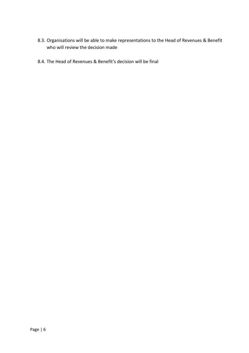- 8.3. Organisations will be able to make representations to the Head of Revenues & Benefit who will review the decision made
- 8.4. The Head of Revenues & Benefit's decision will be final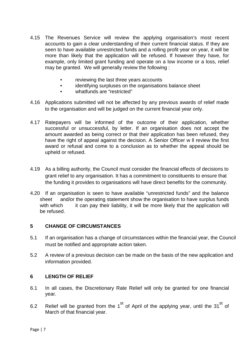- 4.15 The Revenues Service will review the applying organisation's most recent accounts to gain a clear understanding of their current financial status. If they are seen to have available unrestricted funds and a rolling profit year on year, it will be more than likely that the application will be refused. If however they have, for example, only limited grant funding and operate on a low income or a loss, relief may be granted. We will generally review the following :
	- reviewing the last three years accounts
	- identifying surpluses on the organisations balance sheet
	- whatfunds are "restricted"
- 4.16 Applications submitted will not be affected by any previous awards of relief made to the organisation and will be judged on the current financial year only.
- 4.17 Ratepayers will be informed of the outcome of their application, whether successful or unsuccessful, by letter. If an organisation does not accept the amount awarded as being correct or that their application has been refused, they have the right of appeal against the decision. A Senior Officer w ll review the first award or refusal and come to a conclusion as to whether the appeal should be upheld or refused.
- 4.19 As a billing authority, the Council must consider the financial effects of decisions to grant relief to any organisation. It has a commitment to constituents to ensure that the funding it provides to organisations will have direct benefits for the community.
- 4.20 If an organisation is seen to have available "unrestricted funds" and the balance sheet and/or the operating statement show the organisation to have surplus funds with which it can pay their liability, it will be more likely that the application will be refused.

# **5 CHANGE OF CIRCUMSTANCES**

- 5.1 If an organisation has a change of circumstances within the financial year, the Council must be notified and appropriate action taken.
- 5.2 A review of a previous decision can be made on the basis of the new application and information provided.

### **6 LENGTH OF RELIEF**

- 6.1 In all cases, the Discretionary Rate Relief will only be granted for one financial year.
- 6.2 Relief will be granted from the  $1<sup>st</sup>$  of April of the applying year, until the 31<sup>st</sup> of March of that financial year.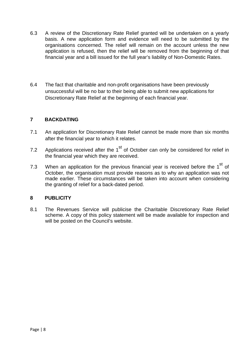- 6.3 A review of the Discretionary Rate Relief granted will be undertaken on a yearly basis. A new application form and evidence will need to be submitted by the organisations concerned. The relief will remain on the account unless the new application is refused, then the relief will be removed from the beginning of that financial year and a bill issued for the full year's liability of Non-Domestic Rates.
- 6.4 The fact that charitable and non-profit organisations have been previously unsuccessful will be no bar to their being able to submit new applications for Discretionary Rate Relief at the beginning of each financial year.

# **7 BACKDATING**

- 7.1 An application for Discretionary Rate Relief cannot be made more than six months after the financial year to which it relates.
- 7.2 Applications received after the  $1<sup>st</sup>$  of October can only be considered for relief in the financial year which they are received.
- 7.3 When an application for the previous financial year is received before the  $1<sup>st</sup>$  of October, the organisation must provide reasons as to why an application was not made earlier. These circumstances will be taken into account when considering the granting of relief for a back-dated period.

### **8 PUBLICITY**

8.1 The Revenues Service will publicise the Charitable Discretionary Rate Relief scheme. A copy of this policy statement will be made available for inspection and will be posted on the Council's website.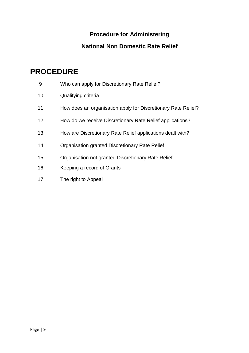# **Procedure for Administering**

# **National Non Domestic Rate Relief**

# **PROCEDURE**

- Who can apply for Discretionary Rate Relief?
- Qualifying criteria
- 11 How does an organisation apply for Discretionary Rate Relief?
- How do we receive Discretionary Rate Relief applications?
- How are Discretionary Rate Relief applications dealt with?
- Organisation granted Discretionary Rate Relief
- Organisation not granted Discretionary Rate Relief
- Keeping a record of Grants
- The right to Appeal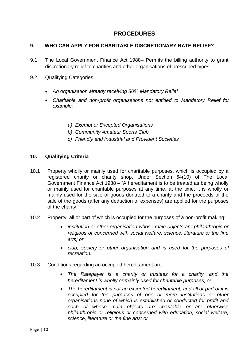# **PROCEDURES**

### **9. WHO CAN APPLY FOR CHARITABLE DISCRETIONARY RATE RELIEF?**

- 9.1 The Local Government Finance Act 1988– Permits the billing authority to grant discretionary relief to charities and other organisations of prescribed types.
- 9.2 Qualifying Categories:
	- *An organisation already receiving 80% Mandatory Relief*
	- *Charitable and non-profit organisations not entitled to Mandatory Relief for example:* 
		- *a) Exempt or Excepted Organisations*
		- *b) Community Amateur Sports Club*
		- *c) Friendly and Industrial and Provident Societies*

### **10. Qualifying Criteria**

- 10.1 Property wholly or mainly used for charitable purposes, which is occupied by a registered charity or charity shop. Under Section 64(10) of The Local Government Finance Act 1988 – 'A hereditament is to be treated as being wholly or mainly used for charitable purposes at any time, at the time, it is wholly or mainly used for the sale of goods donated to a charity and the proceeds of the sale of the goods (after any deduction of expenses) are applied for the purposes of the charity.'
- 10.2 Property, all or part of which is occupied for the purposes of a non-profit making:
	- *institution or other organisation whose main objects are philanthropic or religious or concerned with social welfare, science, literature or the fine arts; or*
	- *club, society or other organisation and is used for the purposes of recreation.*
- 10.3 Conditions regarding an occupied hereditament are:
	- *The Ratepayer is a charity or trustees for a charity, and the hereditament is wholly or mainly used for charitable purposes; or*
	- *The hereditament is not an excepted hereditament, and all or part of it is occupied for the purposes of one or more institutions or other organisations none of which is established or conducted for profit and each of whose main objects are charitable or are otherwise philanthropic or religious or concerned with education, social welfare, science, literature or the fine arts; or*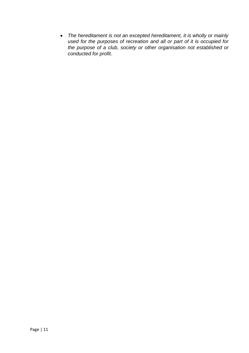• *The hereditament is not an excepted hereditament, it is wholly or mainly used for the purposes of recreation and all or part of it is occupied for the purpose of a club, society or other organisation not established or conducted for profit.*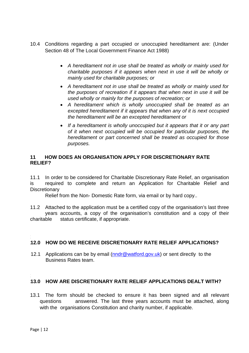- 10.4 Conditions regarding a part occupied or unoccupied hereditament are: (Under Section 48 of The Local Government Finance Act 1988)
	- *A hereditament not in use shall be treated as wholly or mainly used for charitable purposes if it appears when next in use it will be wholly or mainly used for charitable purposes; or*
	- *A hereditament not in use shall be treated as wholly or mainly used for the purposes of recreation if it appears that when next in use it will be used wholly or mainly for the purposes of recreation; or*
	- *A hereditament which is wholly unoccupied shall be treated as an excepted hereditament if it appears that when any of it is next occupied the hereditament will be an excepted hereditament or*
	- If a hereditament is wholly unoccupied but it appears that it or any part *of it when next occupied will be occupied for particular purposes, the hereditament or part concerned shall be treated as occupied for those purposes.*

### **11 HOW DOES AN ORGANISATION APPLY FOR DISCRETIONARY RATE RELIEF?**

11.1 In order to be considered for Charitable Discretionary Rate Relief, an organisation is required to complete and return an Application for Charitable Relief and **Discretionary** 

Relief from the Non- Domestic Rate form, via email or by hard copy..

11.2 Attached to the application must be a certified copy of the organisation's last three years accounts, a copy of the organisation's constitution and a copy of their charitable status certificate, if appropriate.

#### **1 212.0 HOW DO WE RECEIVE DISCRETIONARY RATE RELIEF APPLICATIONS?**

12.1 Applications can be by email [\(nndr@watford.gov.uk\)](mailto:nndr@watford.gov.uk) or sent directly to the Business Rates team.

#### **1 313.0 HOW ARE DISCRETIONARY RATE RELIEF APPLICATIONS DEALT WITH?**

13.1 The form should be checked to ensure it has been signed and all relevant questions answered. The last three years accounts must be attached, along with the organisations Constitution and charity number, if applicable.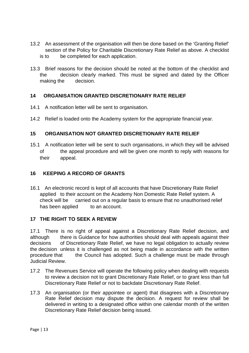- 13.2 An assessment of the organisation will then be done based on the 'Granting Relief' section of the Policy for Charitable Discretionary Rate Relief as above. A checklist is to be completed for each application.
- 13.3 Brief reasons for the decision should be noted at the bottom of the checklist and the decision clearly marked. This must be signed and dated by the Officer making the decision.

# **14 ORGANISATION GRANTED DISCRETIONARY RATE RELIEF**

- 14.1 A notification letter will be sent to organisation.
- 14.2 Relief is loaded onto the Academy system for the appropriate financial year.

# **15 ORGANISATION NOT GRANTED DISCRETIONARY RATE RELIEF**

15.1 A notification letter will be sent to such organisations, in which they will be advised of the appeal procedure and will be given one month to reply with reasons for their appeal.

### **16 KEEPING A RECORD OF GRANTS**

16.1 An electronic record is kept of all accounts that have Discretionary Rate Relief applied to their account on the Academy Non Domestic Rate Relief system. A check will be carried out on a regular basis to ensure that no unauthorised relief has been applied to an account.

### **17 THE RIGHT TO SEEK A REVIEW**

17.1 There is no right of appeal against a Discretionary Rate Relief decision, and although there is Guidance for how authorities should deal with appeals against their decisions of Discretionary Rate Relief, we have no legal obligation to actually review the decision unless it is challenged as not being made in accordance with the written<br>procedure that the Council has adopted. Such a challenge must be made through the Council has adopted. Such a challenge must be made through Judicial Review.

- 17.2 The Revenues Service will operate the following policy when dealing with requests to review a decision not to grant Discretionary Rate Relief, or to grant less than full Discretionary Rate Relief or not to backdate Discretionary Rate Relief.
- 17.3 An organisation (or their appointee or agent) that disagrees with a Discretionary Rate Relief decision may dispute the decision. A request for review shall be delivered in writing to a designated office within one calendar month of the written Discretionary Rate Relief decision being issued.